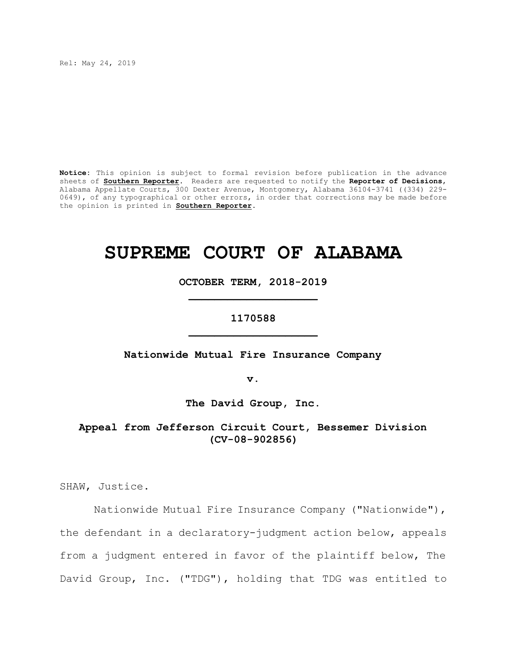Rel: May 24, 2019

**Notice:** This opinion is subject to formal revision before publication in the advance sheets of **Southern Reporter**. Readers are requested to notify the **Reporter of Decisions**, Alabama Appellate Courts, 300 Dexter Avenue, Montgomery, Alabama 36104-3741 ((334) 229- 0649), of any typographical or other errors, in order that corrections may be made before the opinion is printed in **Southern Reporter**.

# **SUPREME COURT OF ALABAMA**

**OCTOBER TERM, 2018-2019 \_\_\_\_\_\_\_\_\_\_\_\_\_\_\_\_\_\_\_\_**

# **1170588 \_\_\_\_\_\_\_\_\_\_\_\_\_\_\_\_\_\_\_\_**

**Nationwide Mutual Fire Insurance Company**

**v.**

**The David Group, Inc.**

**Appeal from Jefferson Circuit Court, Bessemer Division (CV-08-902856)**

SHAW, Justice.

Nationwide Mutual Fire Insurance Company ("Nationwide"), the defendant in a declaratory-judgment action below, appeals from a judgment entered in favor of the plaintiff below, The David Group, Inc. ("TDG"), holding that TDG was entitled to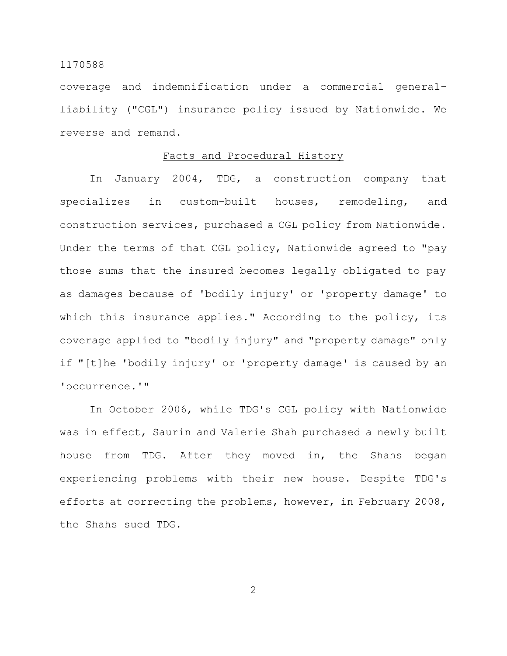coverage and indemnification under a commercial generalliability ("CGL") insurance policy issued by Nationwide. We reverse and remand.

## Facts and Procedural History

In January 2004, TDG, a construction company that specializes in custom-built houses, remodeling, and construction services, purchased a CGL policy from Nationwide. Under the terms of that CGL policy, Nationwide agreed to "pay those sums that the insured becomes legally obligated to pay as damages because of 'bodily injury' or 'property damage' to which this insurance applies." According to the policy, its coverage applied to "bodily injury" and "property damage" only if "[t]he 'bodily injury' or 'property damage' is caused by an 'occurrence.'"

In October 2006, while TDG's CGL policy with Nationwide was in effect, Saurin and Valerie Shah purchased a newly built house from TDG. After they moved in, the Shahs began experiencing problems with their new house. Despite TDG's efforts at correcting the problems, however, in February 2008, the Shahs sued TDG.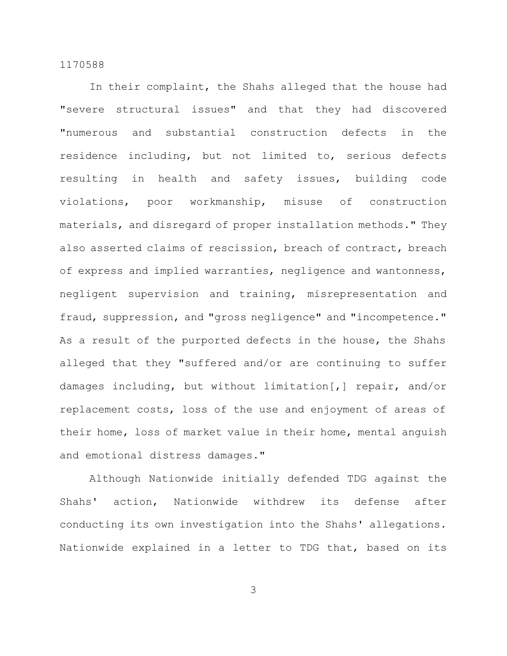In their complaint, the Shahs alleged that the house had "severe structural issues" and that they had discovered "numerous and substantial construction defects in the residence including, but not limited to, serious defects resulting in health and safety issues, building code violations, poor workmanship, misuse of construction materials, and disregard of proper installation methods." They also asserted claims of rescission, breach of contract, breach of express and implied warranties, negligence and wantonness, negligent supervision and training, misrepresentation and fraud, suppression, and "gross negligence" and "incompetence." As a result of the purported defects in the house, the Shahs alleged that they "suffered and/or are continuing to suffer damages including, but without limitation[,] repair, and/or replacement costs, loss of the use and enjoyment of areas of their home, loss of market value in their home, mental anguish and emotional distress damages."

Although Nationwide initially defended TDG against the Shahs' action, Nationwide withdrew its defense after conducting its own investigation into the Shahs' allegations. Nationwide explained in a letter to TDG that, based on its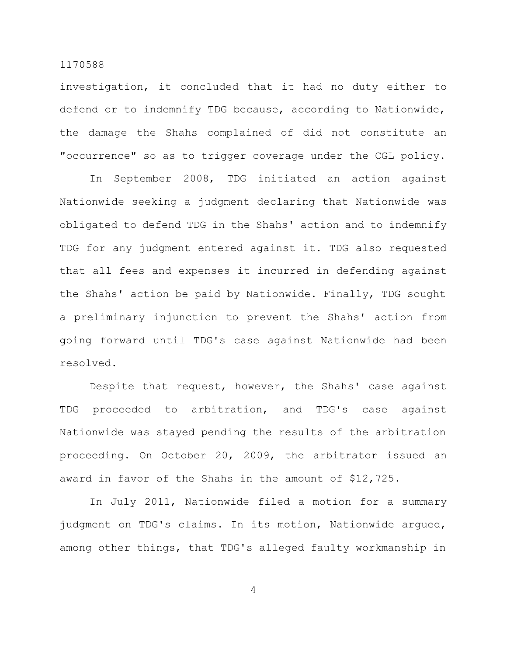investigation, it concluded that it had no duty either to defend or to indemnify TDG because, according to Nationwide, the damage the Shahs complained of did not constitute an "occurrence" so as to trigger coverage under the CGL policy.

In September 2008, TDG initiated an action against Nationwide seeking a judgment declaring that Nationwide was obligated to defend TDG in the Shahs' action and to indemnify TDG for any judgment entered against it. TDG also requested that all fees and expenses it incurred in defending against the Shahs' action be paid by Nationwide. Finally, TDG sought a preliminary injunction to prevent the Shahs' action from going forward until TDG's case against Nationwide had been resolved.

Despite that request, however, the Shahs' case against TDG proceeded to arbitration, and TDG's case against Nationwide was stayed pending the results of the arbitration proceeding. On October 20, 2009, the arbitrator issued an award in favor of the Shahs in the amount of \$12,725.

In July 2011, Nationwide filed a motion for a summary judgment on TDG's claims. In its motion, Nationwide argued, among other things, that TDG's alleged faulty workmanship in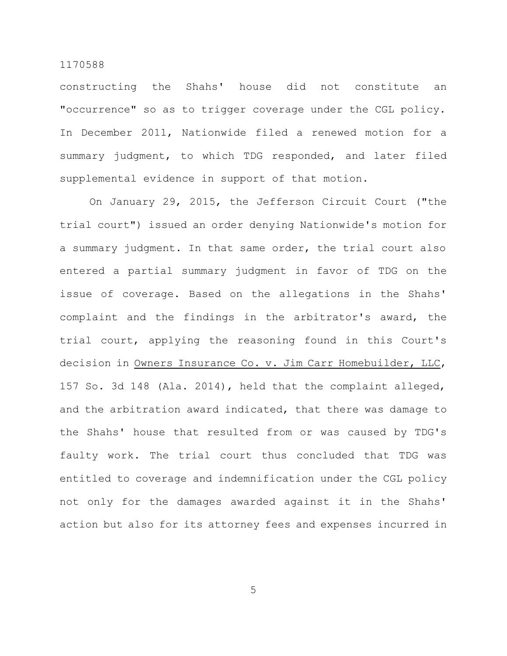constructing the Shahs' house did not constitute an "occurrence" so as to trigger coverage under the CGL policy. In December 2011, Nationwide filed a renewed motion for a summary judgment, to which TDG responded, and later filed supplemental evidence in support of that motion.

On January 29, 2015, the Jefferson Circuit Court ("the trial court") issued an order denying Nationwide's motion for a summary judgment. In that same order, the trial court also entered a partial summary judgment in favor of TDG on the issue of coverage. Based on the allegations in the Shahs' complaint and the findings in the arbitrator's award, the trial court, applying the reasoning found in this Court's decision in Owners Insurance Co. v. Jim Carr Homebuilder, LLC, 157 So. 3d 148 (Ala. 2014), held that the complaint alleged, and the arbitration award indicated, that there was damage to the Shahs' house that resulted from or was caused by TDG's faulty work. The trial court thus concluded that TDG was entitled to coverage and indemnification under the CGL policy not only for the damages awarded against it in the Shahs' action but also for its attorney fees and expenses incurred in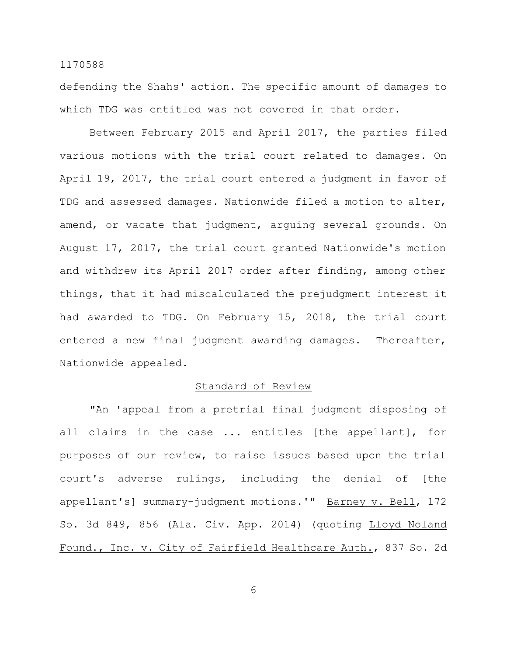defending the Shahs' action. The specific amount of damages to which TDG was entitled was not covered in that order.

Between February 2015 and April 2017, the parties filed various motions with the trial court related to damages. On April 19, 2017, the trial court entered a judgment in favor of TDG and assessed damages. Nationwide filed a motion to alter, amend, or vacate that judgment, arguing several grounds. On August 17, 2017, the trial court granted Nationwide's motion and withdrew its April 2017 order after finding, among other things, that it had miscalculated the prejudgment interest it had awarded to TDG. On February 15, 2018, the trial court entered a new final judgment awarding damages. Thereafter, Nationwide appealed.

# Standard of Review

"An 'appeal from a pretrial final judgment disposing of all claims in the case ... entitles [the appellant], for purposes of our review, to raise issues based upon the trial court's adverse rulings, including the denial of [the appellant's] summary-judgment motions.'" Barney v. Bell, 172 So. 3d 849, 856 (Ala. Civ. App. 2014) (quoting Lloyd Noland Found., Inc. v. City of Fairfield Healthcare Auth., 837 So. 2d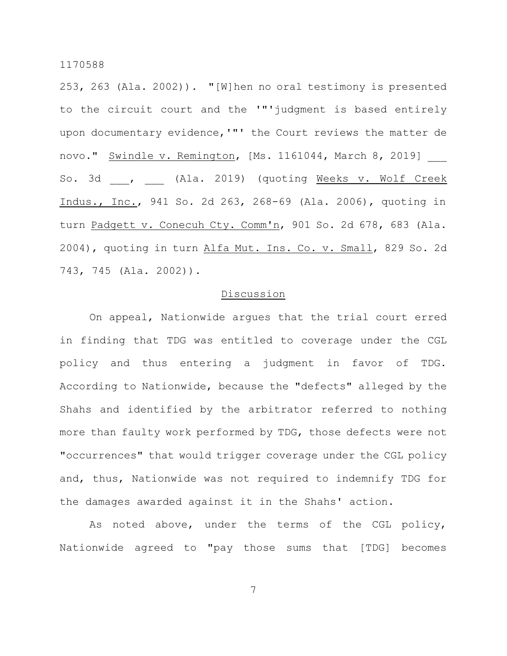253, 263 (Ala. 2002)). "[W]hen no oral testimony is presented to the circuit court and the '"'judgment is based entirely upon documentary evidence,'"' the Court reviews the matter de novo." Swindle v. Remington, [Ms. 1161044, March 8, 2019] So. 3d , (Ala. 2019) (quoting Weeks v. Wolf Creek Indus., Inc., 941 So. 2d 263, 268-69 (Ala. 2006), quoting in turn Padgett v. Conecuh Cty. Comm'n, 901 So. 2d 678, 683 (Ala. 2004), quoting in turn Alfa Mut. Ins. Co. v. Small, 829 So. 2d 743, 745 (Ala. 2002)).

# Discussion

On appeal, Nationwide argues that the trial court erred in finding that TDG was entitled to coverage under the CGL policy and thus entering a judgment in favor of TDG. According to Nationwide, because the "defects" alleged by the Shahs and identified by the arbitrator referred to nothing more than faulty work performed by TDG, those defects were not "occurrences" that would trigger coverage under the CGL policy and, thus, Nationwide was not required to indemnify TDG for the damages awarded against it in the Shahs' action.

As noted above, under the terms of the CGL policy, Nationwide agreed to "pay those sums that [TDG] becomes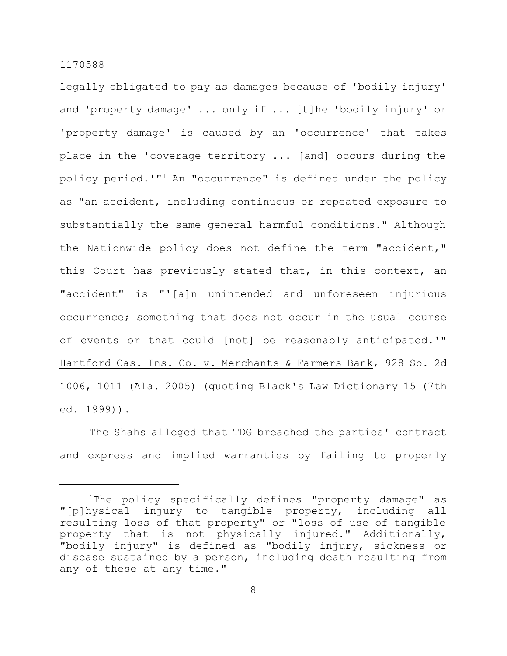legally obligated to pay as damages because of 'bodily injury' and 'property damage' ... only if ... [t]he 'bodily injury' or 'property damage' is caused by an 'occurrence' that takes place in the 'coverage territory ... [and] occurs during the policy period.'"<sup>1</sup> An "occurrence" is defined under the policy as "an accident, including continuous or repeated exposure to substantially the same general harmful conditions." Although the Nationwide policy does not define the term "accident," this Court has previously stated that, in this context, an "accident" is "'[a]n unintended and unforeseen injurious occurrence; something that does not occur in the usual course of events or that could [not] be reasonably anticipated.'" Hartford Cas. Ins. Co. v. Merchants & Farmers Bank, 928 So. 2d 1006, 1011 (Ala. 2005) (quoting Black's Law Dictionary 15 (7th ed. 1999)).

The Shahs alleged that TDG breached the parties' contract and express and implied warranties by failing to properly

<sup>&</sup>lt;sup>1</sup>The policy specifically defines "property damage" as "[p]hysical injury to tangible property, including all resulting loss of that property" or "loss of use of tangible property that is not physically injured." Additionally, "bodily injury" is defined as "bodily injury, sickness or disease sustained by a person, including death resulting from any of these at any time."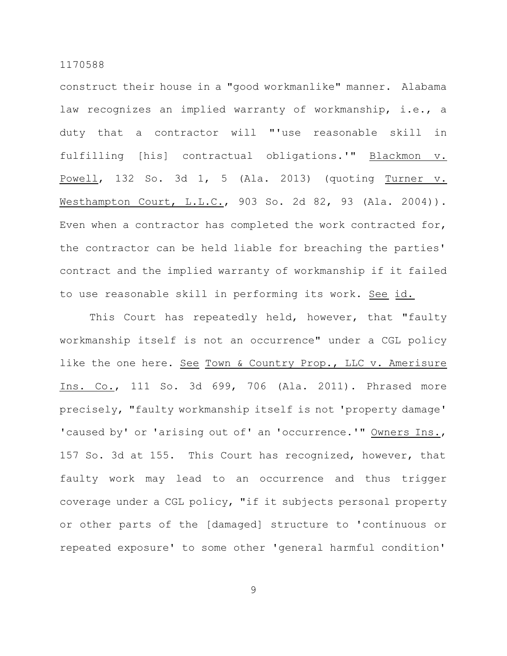construct their house in a "good workmanlike" manner. Alabama law recognizes an implied warranty of workmanship, i.e., a duty that a contractor will "'use reasonable skill in fulfilling [his] contractual obligations.'" Blackmon v. Powell, 132 So. 3d 1, 5 (Ala. 2013) (quoting Turner v. Westhampton Court, L.L.C., 903 So. 2d 82, 93 (Ala. 2004)). Even when a contractor has completed the work contracted for, the contractor can be held liable for breaching the parties' contract and the implied warranty of workmanship if it failed to use reasonable skill in performing its work. See id.

This Court has repeatedly held, however, that "faulty workmanship itself is not an occurrence" under a CGL policy like the one here. See Town & Country Prop., LLC v. Amerisure Ins. Co., 111 So. 3d 699, 706 (Ala. 2011). Phrased more precisely, "faulty workmanship itself is not 'property damage' 'caused by' or 'arising out of' an 'occurrence.'" Owners Ins., 157 So. 3d at 155. This Court has recognized, however, that faulty work may lead to an occurrence and thus trigger coverage under a CGL policy, "if it subjects personal property or other parts of the [damaged] structure to 'continuous or repeated exposure' to some other 'general harmful condition'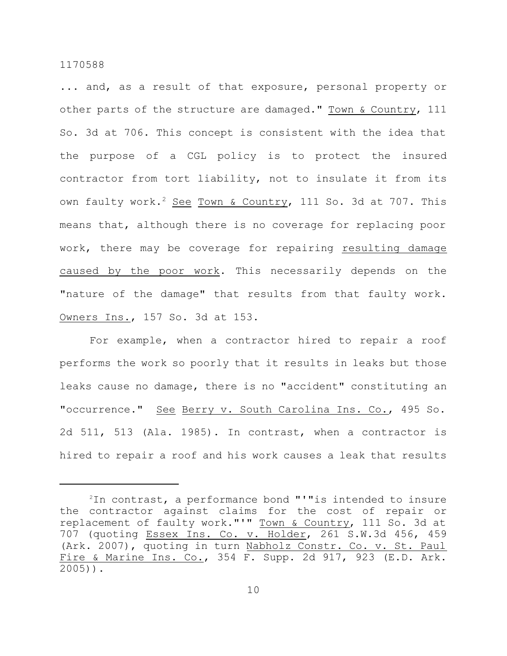... and, as a result of that exposure, personal property or other parts of the structure are damaged." Town & Country, 111 So. 3d at 706. This concept is consistent with the idea that the purpose of a CGL policy is to protect the insured contractor from tort liability, not to insulate it from its own faulty work.<sup>2</sup> See Town & Country, 111 So. 3d at 707. This means that, although there is no coverage for replacing poor work, there may be coverage for repairing resulting damage caused by the poor work. This necessarily depends on the "nature of the damage" that results from that faulty work. Owners Ins., 157 So. 3d at 153.

For example, when a contractor hired to repair a roof performs the work so poorly that it results in leaks but those leaks cause no damage, there is no "accident" constituting an "occurrence." See Berry v. South Carolina Ins. Co., 495 So. 2d 511, 513 (Ala. 1985). In contrast, when a contractor is hired to repair a roof and his work causes a leak that results

<sup>2</sup>In contrast, a performance bond "'"is intended to insure the contractor against claims for the cost of repair or replacement of faulty work."'" Town & Country, 111 So. 3d at 707 (quoting Essex Ins. Co. v. Holder, 261 S.W.3d 456, 459 (Ark. 2007), quoting in turn Nabholz Constr. Co. v. St. Paul Fire & Marine Ins. Co., 354 F. Supp. 2d 917, 923 (E.D. Ark. 2005)).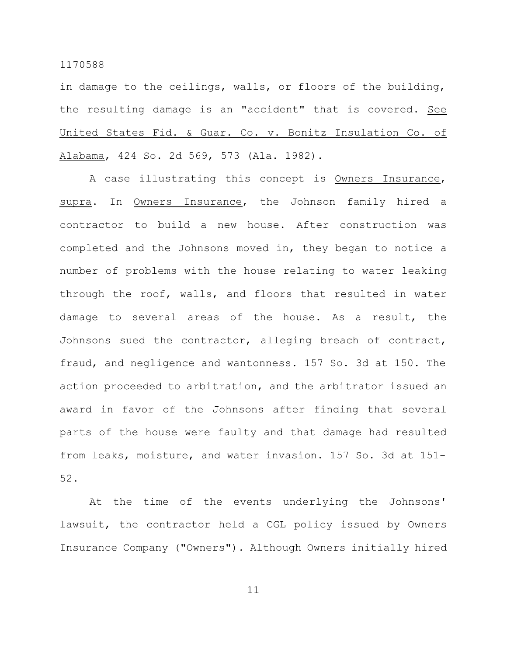in damage to the ceilings, walls, or floors of the building, the resulting damage is an "accident" that is covered. See United States Fid. & Guar. Co. v. Bonitz Insulation Co. of Alabama, 424 So. 2d 569, 573 (Ala. 1982).

A case illustrating this concept is Owners Insurance, supra. In Owners Insurance, the Johnson family hired a contractor to build a new house. After construction was completed and the Johnsons moved in, they began to notice a number of problems with the house relating to water leaking through the roof, walls, and floors that resulted in water damage to several areas of the house. As a result, the Johnsons sued the contractor, alleging breach of contract, fraud, and negligence and wantonness. 157 So. 3d at 150. The action proceeded to arbitration, and the arbitrator issued an award in favor of the Johnsons after finding that several parts of the house were faulty and that damage had resulted from leaks, moisture, and water invasion. 157 So. 3d at 151- 52.

At the time of the events underlying the Johnsons' lawsuit, the contractor held a CGL policy issued by Owners Insurance Company ("Owners"). Although Owners initially hired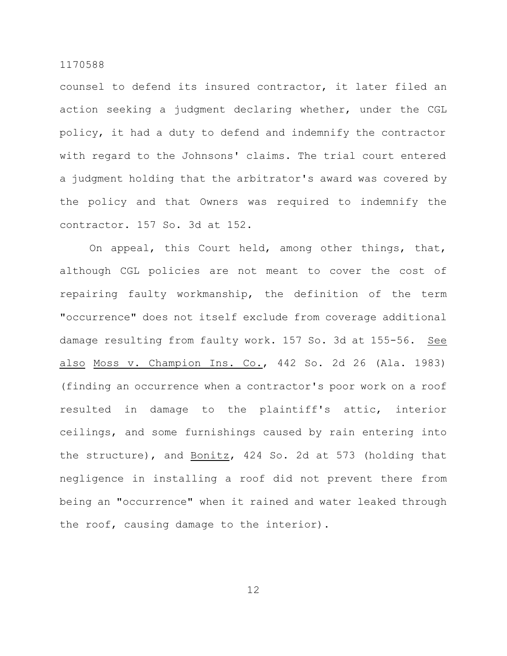counsel to defend its insured contractor, it later filed an action seeking a judgment declaring whether, under the CGL policy, it had a duty to defend and indemnify the contractor with regard to the Johnsons' claims. The trial court entered a judgment holding that the arbitrator's award was covered by the policy and that Owners was required to indemnify the contractor. 157 So. 3d at 152.

On appeal, this Court held, among other things, that, although CGL policies are not meant to cover the cost of repairing faulty workmanship, the definition of the term "occurrence" does not itself exclude from coverage additional damage resulting from faulty work. 157 So. 3d at 155-56. See also Moss v. Champion Ins. Co., 442 So. 2d 26 (Ala. 1983) (finding an occurrence when a contractor's poor work on a roof resulted in damage to the plaintiff's attic, interior ceilings, and some furnishings caused by rain entering into the structure), and Bonitz, 424 So. 2d at 573 (holding that negligence in installing a roof did not prevent there from being an "occurrence" when it rained and water leaked through the roof, causing damage to the interior).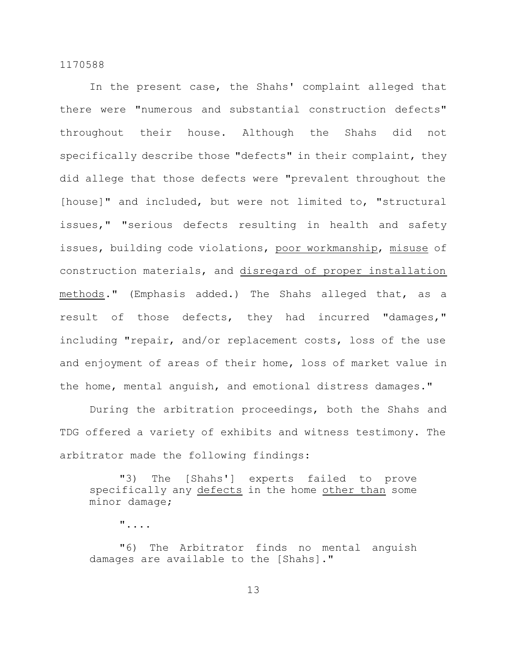In the present case, the Shahs' complaint alleged that there were "numerous and substantial construction defects" throughout their house. Although the Shahs did not specifically describe those "defects" in their complaint, they did allege that those defects were "prevalent throughout the [house]" and included, but were not limited to, "structural issues," "serious defects resulting in health and safety issues, building code violations, poor workmanship, misuse of construction materials, and disregard of proper installation methods." (Emphasis added.) The Shahs alleged that, as a result of those defects, they had incurred "damages," including "repair, and/or replacement costs, loss of the use and enjoyment of areas of their home, loss of market value in the home, mental anguish, and emotional distress damages."

During the arbitration proceedings, both the Shahs and TDG offered a variety of exhibits and witness testimony. The arbitrator made the following findings:

"3) The [Shahs'] experts failed to prove specifically any defects in the home other than some minor damage;

"....

"6) The Arbitrator finds no mental anguish damages are available to the [Shahs]."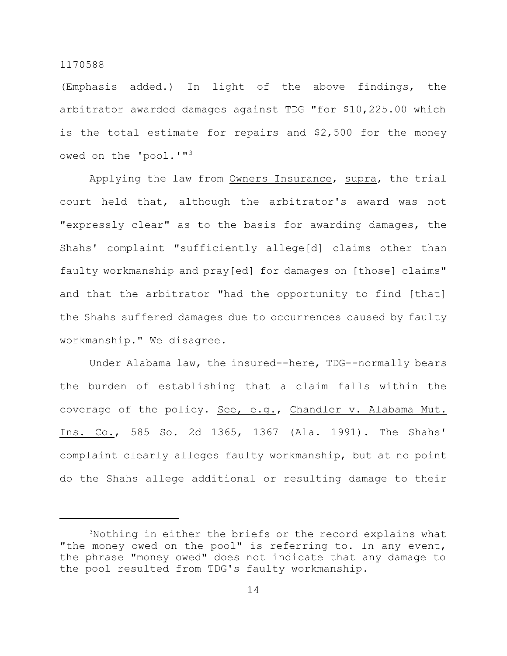(Emphasis added.) In light of the above findings, the arbitrator awarded damages against TDG "for \$10,225.00 which is the total estimate for repairs and \$2,500 for the money owed on the 'pool.'"<sup>3</sup>

Applying the law from Owners Insurance, supra, the trial court held that, although the arbitrator's award was not "expressly clear" as to the basis for awarding damages, the Shahs' complaint "sufficiently allege[d] claims other than faulty workmanship and pray[ed] for damages on [those] claims" and that the arbitrator "had the opportunity to find [that] the Shahs suffered damages due to occurrences caused by faulty workmanship." We disagree.

Under Alabama law, the insured--here, TDG--normally bears the burden of establishing that a claim falls within the coverage of the policy. See, e.g., Chandler v. Alabama Mut. Ins. Co., 585 So. 2d 1365, 1367 (Ala. 1991). The Shahs' complaint clearly alleges faulty workmanship, but at no point do the Shahs allege additional or resulting damage to their

<sup>3</sup>Nothing in either the briefs or the record explains what "the money owed on the pool" is referring to. In any event, the phrase "money owed" does not indicate that any damage to the pool resulted from TDG's faulty workmanship.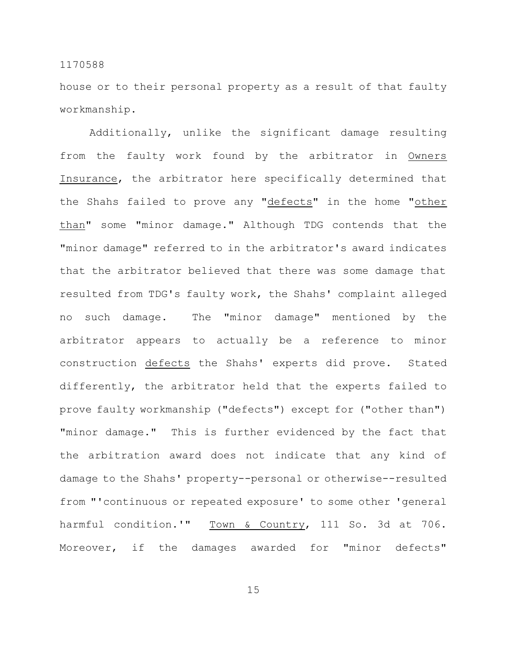house or to their personal property as a result of that faulty workmanship.

Additionally, unlike the significant damage resulting from the faulty work found by the arbitrator in Owners Insurance, the arbitrator here specifically determined that the Shahs failed to prove any "defects" in the home "other than" some "minor damage." Although TDG contends that the "minor damage" referred to in the arbitrator's award indicates that the arbitrator believed that there was some damage that resulted from TDG's faulty work, the Shahs' complaint alleged no such damage. The "minor damage" mentioned by the arbitrator appears to actually be a reference to minor construction defects the Shahs' experts did prove. Stated differently, the arbitrator held that the experts failed to prove faulty workmanship ("defects") except for ("other than") "minor damage." This is further evidenced by the fact that the arbitration award does not indicate that any kind of damage to the Shahs' property--personal or otherwise--resulted from "'continuous or repeated exposure' to some other 'general harmful condition.'" Town & Country, 111 So. 3d at 706. Moreover, if the damages awarded for "minor defects"